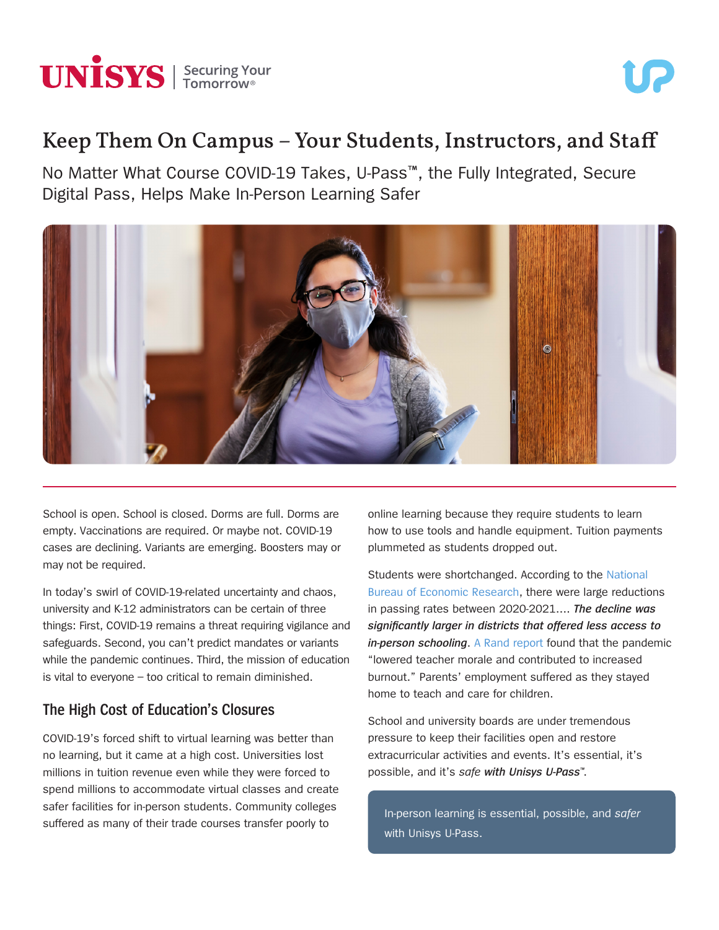

# Keep Them On Campus – Your Students, Instructors, and Staff

No Matter What Course COVID-19 Takes, U-Pass™, the Fully Integrated, Secure Digital Pass, Helps Make In-Person Learning Safer



School is open. School is closed. Dorms are full. Dorms are empty. Vaccinations are required. Or maybe not. COVID-19 cases are declining. Variants are emerging. Boosters may or may not be required.

In today's swirl of COVID-19-related uncertainty and chaos, university and K-12 administrators can be certain of three things: First, COVID-19 remains a threat requiring vigilance and safeguards. Second, you can't predict mandates or variants while the pandemic continues. Third, the mission of education is vital to everyone – too critical to remain diminished.

#### **The High Cost of Education's Closures**

COVID-19's forced shift to virtual learning was better than no learning, but it came at a high cost. Universities lost millions in tuition revenue even while they were forced to spend millions to accommodate virtual classes and create safer facilities for in-person students. Community colleges suffered as many of their trade courses transfer poorly to

online learning because they require students to learn how to use tools and handle equipment. Tuition payments plummeted as students dropped out.

Students were shortchanged. According to the [National](https://www.nber.org/system/files/working_papers/w29497/w29497.pdf)  [Bureau of Economic Research](https://www.nber.org/system/files/working_papers/w29497/w29497.pdf), there were large reductions in passing rates between 2020-2021…. *The decline was significantly larger in districts that offered less access to in-person schooling*. [A Rand report](https://www.rand.org/pubs/research_reports/RRA168-4.html) found that the pandemic "lowered teacher morale and contributed to increased burnout." Parents' employment suffered as they stayed home to teach and care for children.

School and university boards are under tremendous pressure to keep their facilities open and restore extracurricular activities and events. It's essential, it's possible, and it's *safe with Unisys U-Pass*™.

In-person learning is essential, possible, and *safer*  with Unisys U-Pass.